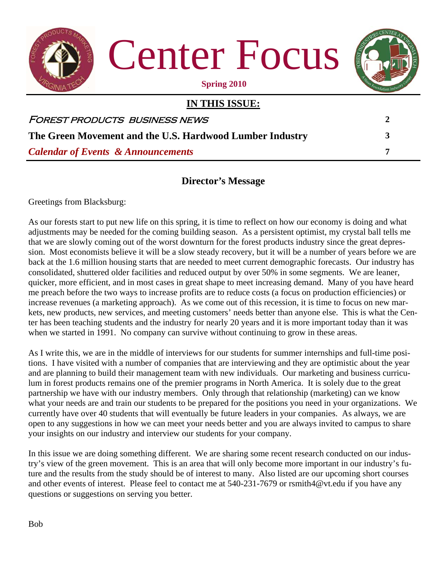

Center Focus



#### **Spring 2010**

| IN THIS ISSUE:                                           |   |
|----------------------------------------------------------|---|
| FOREST PRODUCTS BUSINESS NEWS                            | 2 |
| The Green Movement and the U.S. Hardwood Lumber Industry | 3 |
| <b>Calendar of Events &amp; Announcements</b>            |   |

## **Director's Message**

Greetings from Blacksburg:

As our forests start to put new life on this spring, it is time to reflect on how our economy is doing and what adjustments may be needed for the coming building season. As a persistent optimist, my crystal ball tells me that we are slowly coming out of the worst downturn for the forest products industry since the great depression. Most economists believe it will be a slow steady recovery, but it will be a number of years before we are back at the 1.6 million housing starts that are needed to meet current demographic forecasts. Our industry has consolidated, shuttered older facilities and reduced output by over 50% in some segments. We are leaner, quicker, more efficient, and in most cases in great shape to meet increasing demand. Many of you have heard me preach before the two ways to increase profits are to reduce costs (a focus on production efficiencies) or increase revenues (a marketing approach). As we come out of this recession, it is time to focus on new markets, new products, new services, and meeting customers' needs better than anyone else. This is what the Center has been teaching students and the industry for nearly 20 years and it is more important today than it was when we started in 1991. No company can survive without continuing to grow in these areas.

As I write this, we are in the middle of interviews for our students for summer internships and full-time positions. I have visited with a number of companies that are interviewing and they are optimistic about the year and are planning to build their management team with new individuals. Our marketing and business curriculum in forest products remains one of the premier programs in North America. It is solely due to the great partnership we have with our industry members. Only through that relationship (marketing) can we know what your needs are and train our students to be prepared for the positions you need in your organizations. We currently have over 40 students that will eventually be future leaders in your companies. As always, we are open to any suggestions in how we can meet your needs better and you are always invited to campus to share your insights on our industry and interview our students for your company.

In this issue we are doing something different. We are sharing some recent research conducted on our industry's view of the green movement. This is an area that will only become more important in our industry's future and the results from the study should be of interest to many. Also listed are our upcoming short courses and other events of interest. Please feel to contact me at 540-231-7679 or rsmith4@vt.edu if you have any questions or suggestions on serving you better.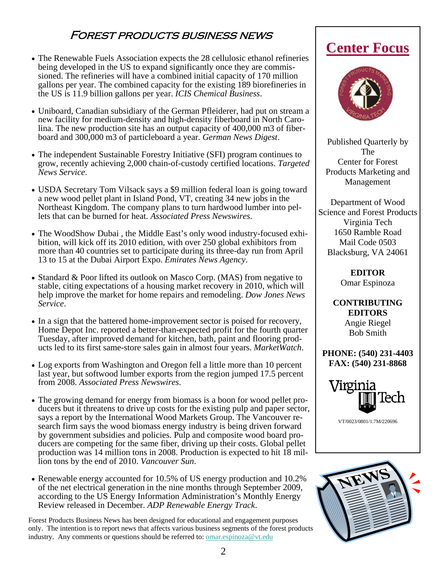## Forest products business news

- The Renewable Fuels Association expects the 28 cellulosic ethanol refineries being developed in the US to expand significantly once they are commissioned. The refineries will have a combined initial capacity of 170 million gallons per year. The combined capacity for the existing 189 biorefineries in the US is 11.9 billion gallons per year. *ICIS Chemical Business*.
- Uniboard, Canadian subsidiary of the German Pfleiderer, had put on stream a new facility for medium-density and high-density fiberboard in North Carolina. The new production site has an output capacity of 400,000 m3 of fiberboard and 300,000 m3 of particleboard a year. *German News Digest*.
- The independent Sustainable Forestry Initiative (SFI) program continues to grow, recently achieving 2,000 chain-of-custody certified locations. *Targeted News Service*.
- USDA Secretary Tom Vilsack says a \$9 million federal loan is going toward a new wood pellet plant in Island Pond, VT, creating 34 new jobs in the Northeast Kingdom. The company plans to turn hardwood lumber into pellets that can be burned for heat. *Associated Press Newswires*.
- The WoodShow Dubai , the Middle East's only wood industry-focused exhibition, will kick off its 2010 edition, with over 250 global exhibitors from more than 40 countries set to participate during its three-day run from April 13 to 15 at the Dubai Airport Expo. *Emirates News Agency*.
- Standard & Poor lifted its outlook on Masco Corp. (MAS) from negative to stable, citing expectations of a housing market recovery in 2010, which will help improve the market for home repairs and remodeling. *Dow Jones News Service*.
- In a sign that the battered home-improvement sector is poised for recovery, Home Depot Inc. reported a better-than-expected profit for the fourth quarter Tuesday, after improved demand for kitchen, bath, paint and flooring products led to its first same-store sales gain in almost four years. *MarketWatch*.
- Log exports from Washington and Oregon fell a little more than 10 percent last year, but softwood lumber exports from the region jumped 17.5 percent from 2008. *Associated Press Newswires*.
- The growing demand for energy from biomass is a boon for wood pellet producers but it threatens to drive up costs for the existing pulp and paper sector, says a report by the International Wood Markets Group. The Vancouver research firm says the wood biomass energy industry is being driven forward by government subsidies and policies. Pulp and composite wood board producers are competing for the same fiber, driving up their costs. Global pellet production was 14 million tons in 2008. Production is expected to hit 18 million tons by the end of 2010. *Vancouver Sun*.
- Renewable energy accounted for 10.5% of US energy production and 10.2% of the net electrical generation in the nine months through September 2009, according to the US Energy Information Administration's Monthly Energy Review released in December. *ADP Renewable Energy Track*.

Forest Products Business News has been designed for educational and engagement purposes only. The intention is to report news that affects various business segments of the forest products industry. Any comments or questions should be referred to: **omar.espinoza@vt.edu** 

## **Center Focus**



Published Quarterly by The Center for Forest Products Marketing and Management

Department of Wood Science and Forest Products Virginia Tech 1650 Ramble Road Mail Code 0503 Blacksburg, VA 24061

> **EDITOR**  Omar Espinoza

**CONTRIBUTING EDITORS**  Angie Riegel Bob Smith

**PHONE: (540) 231-4403 FAX: (540) 231-8868** 



VT/0023/0801/1.7M/220696

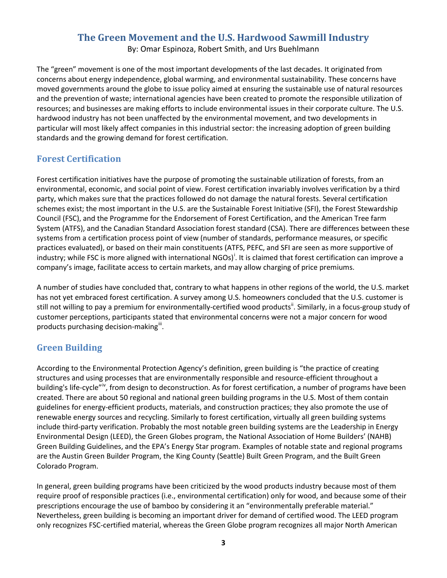## **The Green Movement and the U.S. Hardwood Sawmill Industry**

By: Omar Espinoza, Robert Smith, and Urs Buehlmann

The "green" movement is one of the most important developments of the last decades. It originated from concerns about energy independence, global warming, and environmental sustainability. These concerns have moved governments around the globe to issue policy aimed at ensuring the sustainable use of natural resources and the prevention of waste; international agencies have been created to promote the responsible utilization of resources; and businesses are making efforts to include environmental issues in their corporate culture. The U.S. hardwood industry has not been unaffected by the environmental movement, and two developments in particular will most likely affect companies in this industrial sector: the increasing adoption of green building standards and the growing demand for forest certification.

## **Forest Certification**

Forest certification initiatives have the purpose of promoting the sustainable utilization of forests, from an environmental, economic, and social point of view. Forest certification invariably involves verification by a third party, which makes sure that the practices followed do not damage the natural forests. Several certification schemes exist; the most important in the U.S. are the Sustainable Forest Initiative (SFI), the Forest Stewardship Council (FSC), and the Programme for the Endorsement of Forest Certification, and the American Tree farm System (ATFS), and the Canadian Standard Association forest standard (CSA). There are differences between these systems from a certification process point of view (number of standards, performance measures, or specific practices evaluated), or based on their main constituents (ATFS, PEFC, and SFI are seen as more supportive of [i](#page-5-0)ndustry; while FSC is more aligned with international NGOs)<sup>i</sup>. It is claimed that forest certification can improve a company's image, facilitate access to certain markets, and may allow charging of price premiums.

A number of studies have concluded that, contrary to what happens in other regions of the world, the U.S. market has not yet embraced forest certification. A survey among U.S. homeowners concluded that the U.S. customer is still not willing to pay a premium for environmentally-certified wood products<sup>"</sup>. Similarly, in a focus-group study of customer perceptions, participants stated that environmental concerns were not a major concern for wood products purchasing decision-making<sup>[iii](#page-5-2)</sup>.

## **Green Building**

According to the Environmental Protection Agency's definition, green building is "the practice of creating structures and using processes that are environmentally responsible and resource-efficient throughout a building's life-cycle"<sup>[iv](#page-5-3)</sup>, from design to deconstruction. As for forest certification, a number of programs have been created. There are about 50 regional and national green building programs in the U.S. Most of them contain guidelines for energy-efficient products, materials, and construction practices; they also promote the use of renewable energy sources and recycling. Similarly to forest certification, virtually all green building systems include third-party verification. Probably the most notable green building systems are the Leadership in Energy Environmental Design (LEED), the Green Globes program, the National Association of Home Builders' (NAHB) Green Building Guidelines, and the EPA's Energy Star program. Examples of notable state and regional programs are the Austin Green Builder Program, the King County (Seattle) Built Green Program, and the Built Green Colorado Program.

In general, green building programs have been criticized by the wood products industry because most of them require proof of responsible practices (i.e., environmental certification) only for wood, and because some of their prescriptions encourage the use of bamboo by considering it an "environmentally preferable material." Nevertheless, green building is becoming an important driver for demand of certified wood. The LEED program only recognizes FSC-certified material, whereas the Green Globe program recognizes all major North American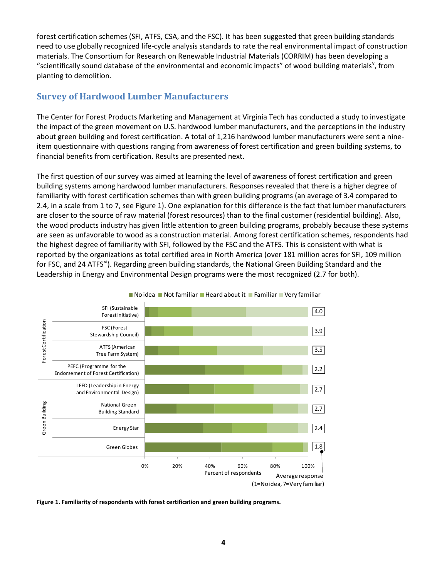forest certification schemes (SFI, ATFS, CSA, and the FSC). It has been suggested that green building standards need to use globally recognized life-cycle analysis standards to rate the real environmental impact of construction materials. The Consortium for Research on Renewable Industrial Materials (CORRIM) has been developing a "scientifically sound database of the en[v](#page-5-4)ironmental and economic impacts" of wood building materials", from planting to demolition.

## **Survey of Hardwood Lumber Manufacturers**

The Center for Forest Products Marketing and Management at Virginia Tech has conducted a study to investigate the impact of the green movement on U.S. hardwood lumber manufacturers, and the perceptions in the industry about green building and forest certification. A total of 1,216 hardwood lumber manufacturers were sent a nineitem questionnaire with questions ranging from awareness of forest certification and green building systems, to financial benefits from certification. Results are presented next.

The first question of our survey was aimed at learning the level of awareness of forest certification and green building systems among hardwood lumber manufacturers. Responses revealed that there is a higher degree of familiarity with forest certification schemes than with green building programs (an average of 3.4 compared to 2.4, in a scale from 1 to 7, see [Figure 1\)](#page-3-0). One explanation for this difference is the fact that lumber manufacturers are closer to the source of raw material (forest resources) than to the final customer (residential building). Also, the wood products industry has given little attention to green building programs, probably because these systems are seen as unfavorable to wood as a construction material. Among forest certification schemes, respondents had the highest degree of familiarity with SFI, followed by the FSC and the ATFS. This is consistent with what is reported by the organizations as total certified area in North America (over 181 million acres for SFI, 109 million for FSC, and 24 ATFS<sup>[vi](#page-5-5)</sup>). Regarding green building standards, the National Green Building Standard and the Leadership in Energy and Environmental Design programs were the most recognized (2.7 for both).





<span id="page-3-0"></span>**Figure 1. Familiarity of respondents with forest certification and green building programs.**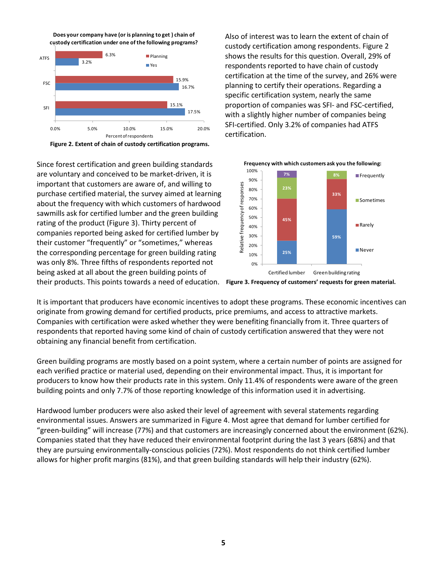**Does your company have (or is planning to get ) chain of custody certification under one of the following programs?**



<span id="page-4-0"></span>**Figure 2. Extent of chain of custody certification programs.**

Since forest certification and green building standards are voluntary and conceived to be market-driven, it is important that customers are aware of, and willing to purchase certified material, the survey aimed at learning about the frequency with which customers of hardwood sawmills ask for certified lumber and the green building rating of the product [\(Figure 3\)](#page-4-1). Thirty percent of companies reported being asked for certified lumber by their customer "frequently" or "sometimes," whereas the corresponding percentage for green building rating was only 8%. Three fifths of respondents reported not being asked at all about the green building points of

Also of interest was to learn the extent of chain of custody certification among respondents[. Figure 2](#page-4-0) shows the results for this question. Overall, 29% of respondents reported to have chain of custody certification at the time of the survey, and 26% were planning to certify their operations. Regarding a specific certification system, nearly the same proportion of companies was SFI- and FSC-certified, with a slightly higher number of companies being SFI-certified. Only 3.2% of companies had ATFS certification.

<span id="page-4-1"></span>

their products. This points towards a need of education. **Figure 3. Frequency of customers' requests for green material.**

It is important that producers have economic incentives to adopt these programs. These economic incentives can originate from growing demand for certified products, price premiums, and access to attractive markets. Companies with certification were asked whether they were benefiting financially from it. Three quarters of respondents that reported having some kind of chain of custody certification answered that they were not obtaining any financial benefit from certification.

Green building programs are mostly based on a point system, where a certain number of points are assigned for each verified practice or material used, depending on their environmental impact. Thus, it is important for producers to know how their products rate in this system. Only 11.4% of respondents were aware of the green building points and only 7.7% of those reporting knowledge of this information used it in advertising.

Hardwood lumber producers were also asked their level of agreement with several statements regarding environmental issues. Answers are summarized in [Figure 4.](#page-5-6) Most agree that demand for lumber certified for "green-building" will increase (77%) and that customers are increasingly concerned about the environment (62%). Companies stated that they have reduced their environmental footprint during the last 3 years (68%) and that they are pursuing environmentally-conscious policies (72%). Most respondents do not think certified lumber allows for higher profit margins (81%), and that green building standards will help their industry (62%).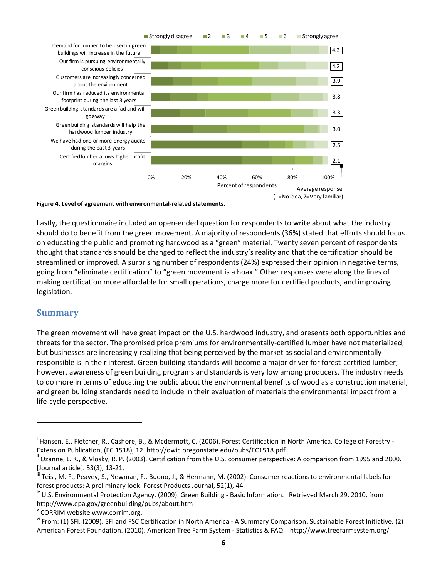

#### <span id="page-5-6"></span>**Figure 4. Level of agreement with environmental-related statements.**

Lastly, the questionnaire included an open-ended question for respondents to write about what the industry should do to benefit from the green movement. A majority of respondents (36%) stated that efforts should focus on educating the public and promoting hardwood as a "green" material. Twenty seven percent of respondents thought that standards should be changed to reflect the industry's reality and that the certification should be streamlined or improved. A surprising number of respondents (24%) expressed their opinion in negative terms, going from "eliminate certification" to "green movement is a hoax." Other responses were along the lines of making certification more affordable for small operations, charge more for certified products, and improving legislation.

#### **Summary**

 $\overline{a}$ 

The green movement will have great impact on the U.S. hardwood industry, and presents both opportunities and threats for the sector. The promised price premiums for environmentally-certified lumber have not materialized, but businesses are increasingly realizing that being perceived by the market as social and environmentally responsible is in their interest. Green building standards will become a major driver for forest-certified lumber; however, awareness of green building programs and standards is very low among producers. The industry needs to do more in terms of educating the public about the environmental benefits of wood as a construction material, and green building standards need to include in their evaluation of materials the environmental impact from a life-cycle perspective.

<span id="page-5-0"></span><sup>&</sup>lt;sup>i</sup> Hansen, E., Fletcher, R., Cashore, B., & Mcdermott, C. (2006). Forest Certification in North America. College of Forestry -Extension Publication, (EC 1518), 12. http://owic.oregonstate.edu/pubs/EC1518.pdf

<span id="page-5-1"></span>ii Ozanne, L. K., & Vlosky, R. P. (2003). Certification from the U.S. consumer perspective: A comparison from 1995 and 2000. [Journal article]. 53(3), 13-21.

<span id="page-5-2"></span>iii Teisl, M. F., Peavey, S., Newman, F., Buono, J., & Hermann, M. (2002). Consumer reactions to environmental labels for forest products: A preliminary look. Forest Products Journal, 52(1), 44.

<span id="page-5-3"></span> $\degree$  U.S. Environmental Protection Agency. (2009). Green Building - Basic Information. Retrieved March 29, 2010, from http://www.epa.gov/greenbuilding/pubs/about.htm

<span id="page-5-4"></span><sup>&</sup>lt;sup>v</sup> CORRIM website www.corrim.org.

<span id="page-5-5"></span>vi From: (1) SFI. (2009). SFI and FSC Certification in North America - A Summary Comparison. Sustainable Forest Initiative. (2) American Forest Foundation. (2010). American Tree Farm System - Statistics & FAQ. http://www.treefarmsystem.org/